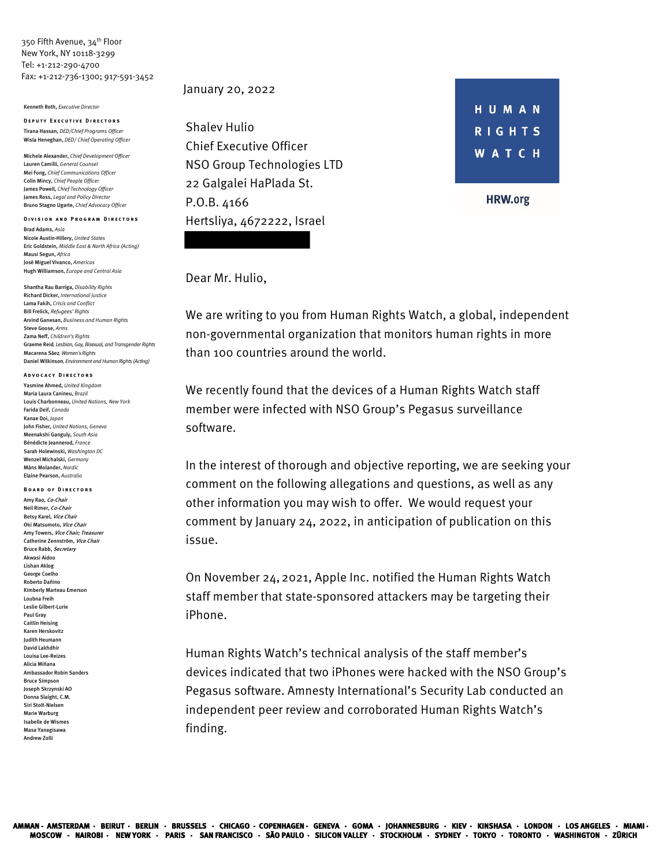350 Fifth Avenue, 34<sup>th</sup> Floor New York, NY 10118-3299 Tel: +1-212-290-4700 Fax: +1-212-736-1300; 917-591-3452

Kenneth Roth, *Executive Director*

**Deputy Executive Directors** Tirana Hassan, *DED/Chief Programs Officer* Wisla Heneghan, *DED/ Chief Operating Officer*

Michele Alexander, *Chief Development Officer* Lauren Camilli, *General Counsel*  Mei Fong, *Chief Communications Officer* Colin Mincy, *Chief People Officer* James Powell, *Chief Technology Officer* James Ross, *Legal and Policy Director* Bruno Stagno Ugarte, *Chief Advocacy Officer*

**Division and Program Directors** Brad Adams, *Asia* Nicole Austin-Hillery, *United States* Eric Goldstein, *Middle East & North Africa (Acting)* Mausi Segun, *Africa* José Miguel Vivanco, *Americas* Hugh Williamson, *Europe and Central Asia*

Shantha Rau Barriga, *Disability Rights*  Richard Dicker, *International Justice* Lama Fakih, *Crisis and Conflict* Bill Frelick, *Refugees' Rights* Arvind Ganesan, *Business and Human Rights* Steve Goose, *Arms*  Zama Neff, *Children's Rights* Graeme Reid, *Lesbian, Gay, Bisexual, and Transgender Rights* Macarena Sáez, *Women's Rights* Daniel Wilkinson, *Environment and Human Rights (Acting)*

## **Advocacy Directors**

Yasmine Ahmed, *United Kingdom* Maria Laura Canineu, *Brazil* Louis Charbonneau, *United Nations, New York* Farida Deif, *Canada* Kanae Doi, *Japan* John Fisher, *United Nations, Geneva* Meenakshi Ganguly, *South Asia* Bénédicte Jeannerod, *France* Sarah Holewinski, *Washington DC* Wenzel Michalski, *Germany*  Måns Molander, *Nordic* Elaine Pearson, *Australia*

**Board of Directors** Amy Rao, Co-Chair Neil Rimer, Co-Chair Betsy Karel, Vice Chair Oki Matsumoto, Vice Chair Amy Towers, Vice Chair; Treasurer Catherine Zennström, Vice Chair Bruce Rabb, Secretary Akwasi Aidoo Lishan Aklog George Coelho Roberto Dañino Kimberly Marteau Emerson Loubna Freih Leslie Gilbert-Lurie Paul Gray Caitlin Heising Karen Herskovitz Judith Heumann David Lakhdhir Louisa Lee-Reizes Alicia Miñana Ambassador Robin Sanders Bruce Simpson Joseph Skrzynski AO Donna Slaight, C.M. Siri Stolt-Nielsen Marie Warburg Isabelle de Wismes Masa Yanagisawa Andrew Zolli

## January 20, 2022

Shalev Hulio Chief Executive Officer NSO Group Technologies LTD 22 Galgalei HaPlada St. P.O.B. 4166 Hertsliya, 4672222, Israel



**HRW.org** 

## Dear Mr. Hulio,

We are writing to you from Human Rights Watch, a global, independent non-governmental organization that monitors human rights in more than 100 countries around the world.

We recently found that the devices of a Human Rights Watch staff member were infected with NSO Group's Pegasus surveillance software.

In the interest of thorough and objective reporting, we are seeking your comment on the following allegations and questions, as well as any other information you may wish to offer. We would request your comment by January 24, 2022, in anticipation of publication on this issue.

On November 24,2021, Apple Inc. notified the Human Rights Watch staff member that state-sponsored attackers may be targeting their iPhone.

Human Rights Watch's technical analysis of the staff member's devices indicated that two iPhones were hacked with the NSO Group's Pegasus software. Amnesty International's Security Lab conducted an independent peer review and corroborated Human Rights Watch's finding.